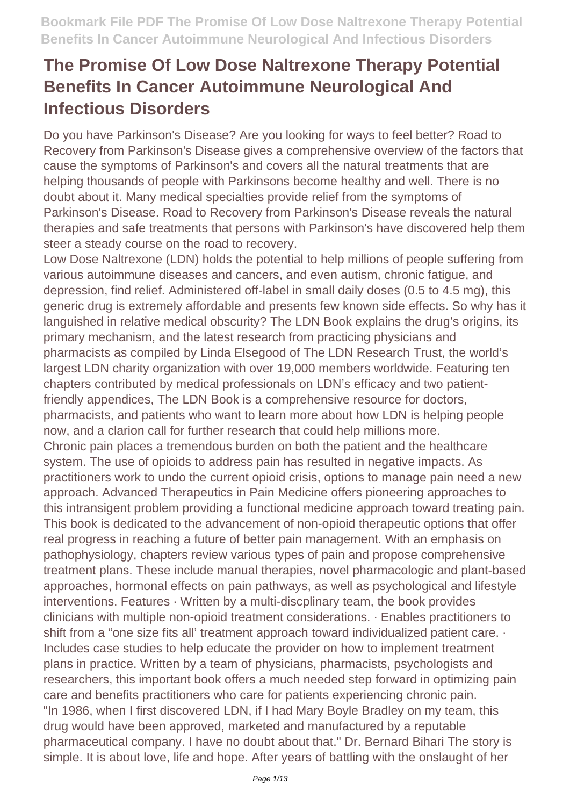Do you have Parkinson's Disease? Are you looking for ways to feel better? Road to Recovery from Parkinson's Disease gives a comprehensive overview of the factors that cause the symptoms of Parkinson's and covers all the natural treatments that are helping thousands of people with Parkinsons become healthy and well. There is no doubt about it. Many medical specialties provide relief from the symptoms of Parkinson's Disease. Road to Recovery from Parkinson's Disease reveals the natural therapies and safe treatments that persons with Parkinson's have discovered help them steer a steady course on the road to recovery.

Low Dose Naltrexone (LDN) holds the potential to help millions of people suffering from various autoimmune diseases and cancers, and even autism, chronic fatigue, and depression, find relief. Administered off-label in small daily doses (0.5 to 4.5 mg), this generic drug is extremely affordable and presents few known side effects. So why has it languished in relative medical obscurity? The LDN Book explains the drug's origins, its primary mechanism, and the latest research from practicing physicians and pharmacists as compiled by Linda Elsegood of The LDN Research Trust, the world's largest LDN charity organization with over 19,000 members worldwide. Featuring ten chapters contributed by medical professionals on LDN's efficacy and two patientfriendly appendices, The LDN Book is a comprehensive resource for doctors, pharmacists, and patients who want to learn more about how LDN is helping people now, and a clarion call for further research that could help millions more. Chronic pain places a tremendous burden on both the patient and the healthcare system. The use of opioids to address pain has resulted in negative impacts. As practitioners work to undo the current opioid crisis, options to manage pain need a new approach. Advanced Therapeutics in Pain Medicine offers pioneering approaches to this intransigent problem providing a functional medicine approach toward treating pain. This book is dedicated to the advancement of non-opioid therapeutic options that offer real progress in reaching a future of better pain management. With an emphasis on pathophysiology, chapters review various types of pain and propose comprehensive treatment plans. These include manual therapies, novel pharmacologic and plant-based approaches, hormonal effects on pain pathways, as well as psychological and lifestyle interventions. Features · Written by a multi-discplinary team, the book provides clinicians with multiple non-opioid treatment considerations. · Enables practitioners to shift from a "one size fits all' treatment approach toward individualized patient care. · Includes case studies to help educate the provider on how to implement treatment plans in practice. Written by a team of physicians, pharmacists, psychologists and researchers, this important book offers a much needed step forward in optimizing pain care and benefits practitioners who care for patients experiencing chronic pain. "In 1986, when I first discovered LDN, if I had Mary Boyle Bradley on my team, this drug would have been approved, marketed and manufactured by a reputable pharmaceutical company. I have no doubt about that." Dr. Bernard Bihari The story is simple. It is about love, life and hope. After years of battling with the onslaught of her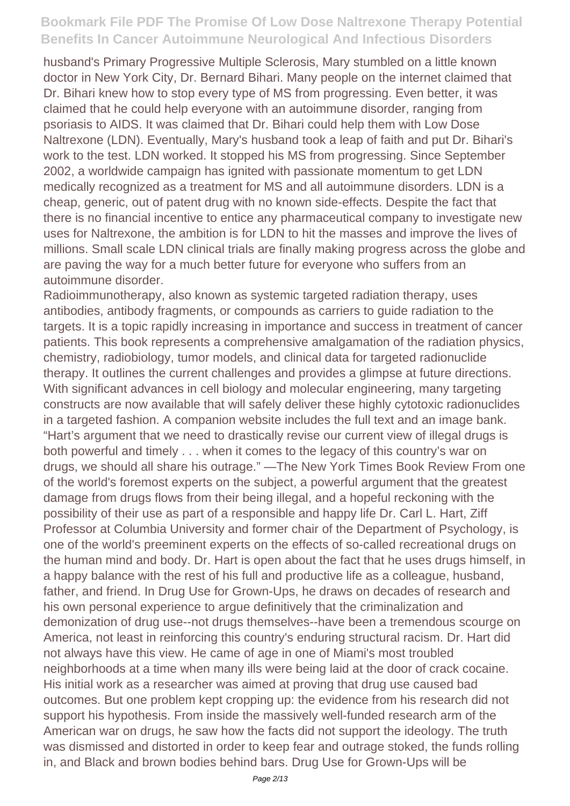husband's Primary Progressive Multiple Sclerosis, Mary stumbled on a little known doctor in New York City, Dr. Bernard Bihari. Many people on the internet claimed that Dr. Bihari knew how to stop every type of MS from progressing. Even better, it was claimed that he could help everyone with an autoimmune disorder, ranging from psoriasis to AIDS. It was claimed that Dr. Bihari could help them with Low Dose Naltrexone (LDN). Eventually, Mary's husband took a leap of faith and put Dr. Bihari's work to the test. LDN worked. It stopped his MS from progressing. Since September 2002, a worldwide campaign has ignited with passionate momentum to get LDN medically recognized as a treatment for MS and all autoimmune disorders. LDN is a cheap, generic, out of patent drug with no known side-effects. Despite the fact that there is no financial incentive to entice any pharmaceutical company to investigate new uses for Naltrexone, the ambition is for LDN to hit the masses and improve the lives of millions. Small scale LDN clinical trials are finally making progress across the globe and are paving the way for a much better future for everyone who suffers from an autoimmune disorder.

Radioimmunotherapy, also known as systemic targeted radiation therapy, uses antibodies, antibody fragments, or compounds as carriers to guide radiation to the targets. It is a topic rapidly increasing in importance and success in treatment of cancer patients. This book represents a comprehensive amalgamation of the radiation physics, chemistry, radiobiology, tumor models, and clinical data for targeted radionuclide therapy. It outlines the current challenges and provides a glimpse at future directions. With significant advances in cell biology and molecular engineering, many targeting constructs are now available that will safely deliver these highly cytotoxic radionuclides in a targeted fashion. A companion website includes the full text and an image bank. "Hart's argument that we need to drastically revise our current view of illegal drugs is both powerful and timely . . . when it comes to the legacy of this country's war on drugs, we should all share his outrage." —The New York Times Book Review From one of the world's foremost experts on the subject, a powerful argument that the greatest damage from drugs flows from their being illegal, and a hopeful reckoning with the possibility of their use as part of a responsible and happy life Dr. Carl L. Hart, Ziff Professor at Columbia University and former chair of the Department of Psychology, is one of the world's preeminent experts on the effects of so-called recreational drugs on the human mind and body. Dr. Hart is open about the fact that he uses drugs himself, in a happy balance with the rest of his full and productive life as a colleague, husband, father, and friend. In Drug Use for Grown-Ups, he draws on decades of research and his own personal experience to argue definitively that the criminalization and demonization of drug use--not drugs themselves--have been a tremendous scourge on America, not least in reinforcing this country's enduring structural racism. Dr. Hart did not always have this view. He came of age in one of Miami's most troubled neighborhoods at a time when many ills were being laid at the door of crack cocaine. His initial work as a researcher was aimed at proving that drug use caused bad outcomes. But one problem kept cropping up: the evidence from his research did not support his hypothesis. From inside the massively well-funded research arm of the American war on drugs, he saw how the facts did not support the ideology. The truth was dismissed and distorted in order to keep fear and outrage stoked, the funds rolling in, and Black and brown bodies behind bars. Drug Use for Grown-Ups will be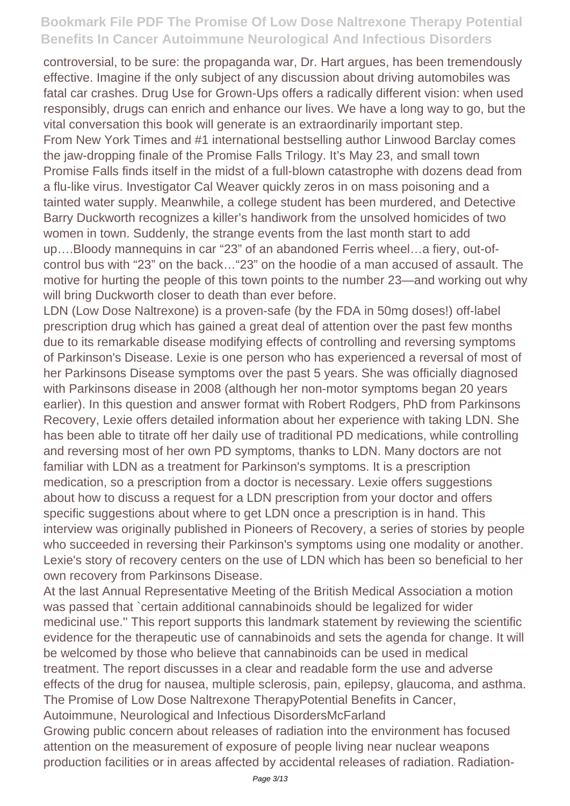controversial, to be sure: the propaganda war, Dr. Hart argues, has been tremendously effective. Imagine if the only subject of any discussion about driving automobiles was fatal car crashes. Drug Use for Grown-Ups offers a radically different vision: when used responsibly, drugs can enrich and enhance our lives. We have a long way to go, but the vital conversation this book will generate is an extraordinarily important step. From New York Times and #1 international bestselling author Linwood Barclay comes the jaw-dropping finale of the Promise Falls Trilogy. It's May 23, and small town Promise Falls finds itself in the midst of a full-blown catastrophe with dozens dead from a flu-like virus. Investigator Cal Weaver quickly zeros in on mass poisoning and a tainted water supply. Meanwhile, a college student has been murdered, and Detective Barry Duckworth recognizes a killer's handiwork from the unsolved homicides of two women in town. Suddenly, the strange events from the last month start to add up….Bloody mannequins in car "23" of an abandoned Ferris wheel…a fiery, out-ofcontrol bus with "23" on the back…"23" on the hoodie of a man accused of assault. The motive for hurting the people of this town points to the number 23—and working out why will bring Duckworth closer to death than ever before.

LDN (Low Dose Naltrexone) is a proven-safe (by the FDA in 50mg doses!) off-label prescription drug which has gained a great deal of attention over the past few months due to its remarkable disease modifying effects of controlling and reversing symptoms of Parkinson's Disease. Lexie is one person who has experienced a reversal of most of her Parkinsons Disease symptoms over the past 5 years. She was officially diagnosed with Parkinsons disease in 2008 (although her non-motor symptoms began 20 years earlier). In this question and answer format with Robert Rodgers, PhD from Parkinsons Recovery, Lexie offers detailed information about her experience with taking LDN. She has been able to titrate off her daily use of traditional PD medications, while controlling and reversing most of her own PD symptoms, thanks to LDN. Many doctors are not familiar with LDN as a treatment for Parkinson's symptoms. It is a prescription medication, so a prescription from a doctor is necessary. Lexie offers suggestions about how to discuss a request for a LDN prescription from your doctor and offers specific suggestions about where to get LDN once a prescription is in hand. This interview was originally published in Pioneers of Recovery, a series of stories by people who succeeded in reversing their Parkinson's symptoms using one modality or another. Lexie's story of recovery centers on the use of LDN which has been so beneficial to her own recovery from Parkinsons Disease.

At the last Annual Representative Meeting of the British Medical Association a motion was passed that `certain additional cannabinoids should be legalized for wider medicinal use.'' This report supports this landmark statement by reviewing the scientific evidence for the therapeutic use of cannabinoids and sets the agenda for change. It will be welcomed by those who believe that cannabinoids can be used in medical treatment. The report discusses in a clear and readable form the use and adverse effects of the drug for nausea, multiple sclerosis, pain, epilepsy, glaucoma, and asthma. The Promise of Low Dose Naltrexone TherapyPotential Benefits in Cancer, Autoimmune, Neurological and Infectious DisordersMcFarland

Growing public concern about releases of radiation into the environment has focused attention on the measurement of exposure of people living near nuclear weapons production facilities or in areas affected by accidental releases of radiation. Radiation-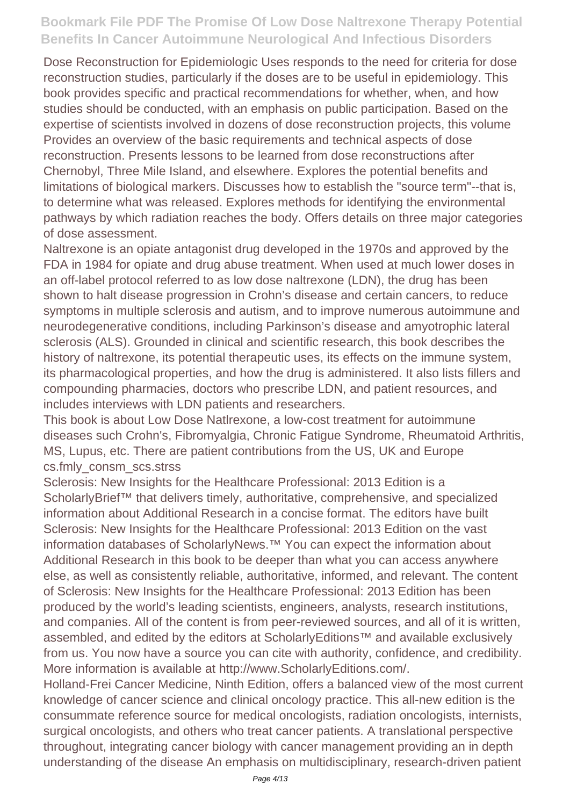Dose Reconstruction for Epidemiologic Uses responds to the need for criteria for dose reconstruction studies, particularly if the doses are to be useful in epidemiology. This book provides specific and practical recommendations for whether, when, and how studies should be conducted, with an emphasis on public participation. Based on the expertise of scientists involved in dozens of dose reconstruction projects, this volume Provides an overview of the basic requirements and technical aspects of dose reconstruction. Presents lessons to be learned from dose reconstructions after Chernobyl, Three Mile Island, and elsewhere. Explores the potential benefits and limitations of biological markers. Discusses how to establish the "source term"--that is, to determine what was released. Explores methods for identifying the environmental pathways by which radiation reaches the body. Offers details on three major categories of dose assessment.

Naltrexone is an opiate antagonist drug developed in the 1970s and approved by the FDA in 1984 for opiate and drug abuse treatment. When used at much lower doses in an off-label protocol referred to as low dose naltrexone (LDN), the drug has been shown to halt disease progression in Crohn's disease and certain cancers, to reduce symptoms in multiple sclerosis and autism, and to improve numerous autoimmune and neurodegenerative conditions, including Parkinson's disease and amyotrophic lateral sclerosis (ALS). Grounded in clinical and scientific research, this book describes the history of naltrexone, its potential therapeutic uses, its effects on the immune system, its pharmacological properties, and how the drug is administered. It also lists fillers and compounding pharmacies, doctors who prescribe LDN, and patient resources, and includes interviews with LDN patients and researchers.

This book is about Low Dose Natlrexone, a low-cost treatment for autoimmune diseases such Crohn's, Fibromyalgia, Chronic Fatigue Syndrome, Rheumatoid Arthritis, MS, Lupus, etc. There are patient contributions from the US, UK and Europe cs.fmly\_consm\_scs.strss

Sclerosis: New Insights for the Healthcare Professional: 2013 Edition is a ScholarlyBrief<sup>™</sup> that delivers timely, authoritative, comprehensive, and specialized information about Additional Research in a concise format. The editors have built Sclerosis: New Insights for the Healthcare Professional: 2013 Edition on the vast information databases of ScholarlyNews.™ You can expect the information about Additional Research in this book to be deeper than what you can access anywhere else, as well as consistently reliable, authoritative, informed, and relevant. The content of Sclerosis: New Insights for the Healthcare Professional: 2013 Edition has been produced by the world's leading scientists, engineers, analysts, research institutions, and companies. All of the content is from peer-reviewed sources, and all of it is written, assembled, and edited by the editors at ScholarlyEditions™ and available exclusively from us. You now have a source you can cite with authority, confidence, and credibility. More information is available at http://www.ScholarlyEditions.com/.

Holland-Frei Cancer Medicine, Ninth Edition, offers a balanced view of the most current knowledge of cancer science and clinical oncology practice. This all-new edition is the consummate reference source for medical oncologists, radiation oncologists, internists, surgical oncologists, and others who treat cancer patients. A translational perspective throughout, integrating cancer biology with cancer management providing an in depth understanding of the disease An emphasis on multidisciplinary, research-driven patient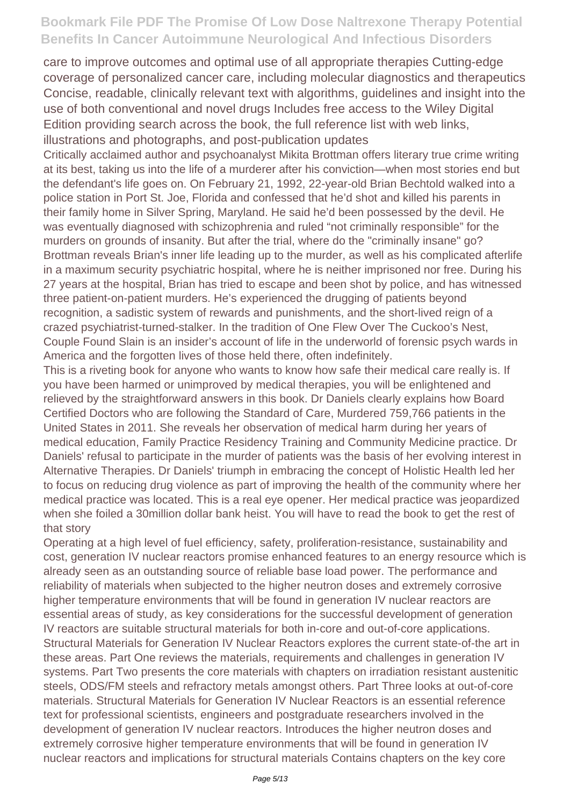care to improve outcomes and optimal use of all appropriate therapies Cutting-edge coverage of personalized cancer care, including molecular diagnostics and therapeutics Concise, readable, clinically relevant text with algorithms, guidelines and insight into the use of both conventional and novel drugs Includes free access to the Wiley Digital Edition providing search across the book, the full reference list with web links, illustrations and photographs, and post-publication updates

Critically acclaimed author and psychoanalyst Mikita Brottman offers literary true crime writing at its best, taking us into the life of a murderer after his conviction—when most stories end but the defendant's life goes on. On February 21, 1992, 22-year-old Brian Bechtold walked into a police station in Port St. Joe, Florida and confessed that he'd shot and killed his parents in their family home in Silver Spring, Maryland. He said he'd been possessed by the devil. He was eventually diagnosed with schizophrenia and ruled "not criminally responsible" for the murders on grounds of insanity. But after the trial, where do the "criminally insane" go? Brottman reveals Brian's inner life leading up to the murder, as well as his complicated afterlife in a maximum security psychiatric hospital, where he is neither imprisoned nor free. During his 27 years at the hospital, Brian has tried to escape and been shot by police, and has witnessed three patient-on-patient murders. He's experienced the drugging of patients beyond recognition, a sadistic system of rewards and punishments, and the short-lived reign of a crazed psychiatrist-turned-stalker. In the tradition of One Flew Over The Cuckoo's Nest, Couple Found Slain is an insider's account of life in the underworld of forensic psych wards in America and the forgotten lives of those held there, often indefinitely.

This is a riveting book for anyone who wants to know how safe their medical care really is. If you have been harmed or unimproved by medical therapies, you will be enlightened and relieved by the straightforward answers in this book. Dr Daniels clearly explains how Board Certified Doctors who are following the Standard of Care, Murdered 759,766 patients in the United States in 2011. She reveals her observation of medical harm during her years of medical education, Family Practice Residency Training and Community Medicine practice. Dr Daniels' refusal to participate in the murder of patients was the basis of her evolving interest in Alternative Therapies. Dr Daniels' triumph in embracing the concept of Holistic Health led her to focus on reducing drug violence as part of improving the health of the community where her medical practice was located. This is a real eye opener. Her medical practice was jeopardized when she foiled a 30million dollar bank heist. You will have to read the book to get the rest of that story

Operating at a high level of fuel efficiency, safety, proliferation-resistance, sustainability and cost, generation IV nuclear reactors promise enhanced features to an energy resource which is already seen as an outstanding source of reliable base load power. The performance and reliability of materials when subjected to the higher neutron doses and extremely corrosive higher temperature environments that will be found in generation IV nuclear reactors are essential areas of study, as key considerations for the successful development of generation IV reactors are suitable structural materials for both in-core and out-of-core applications. Structural Materials for Generation IV Nuclear Reactors explores the current state-of-the art in these areas. Part One reviews the materials, requirements and challenges in generation IV systems. Part Two presents the core materials with chapters on irradiation resistant austenitic steels, ODS/FM steels and refractory metals amongst others. Part Three looks at out-of-core materials. Structural Materials for Generation IV Nuclear Reactors is an essential reference text for professional scientists, engineers and postgraduate researchers involved in the development of generation IV nuclear reactors. Introduces the higher neutron doses and extremely corrosive higher temperature environments that will be found in generation IV nuclear reactors and implications for structural materials Contains chapters on the key core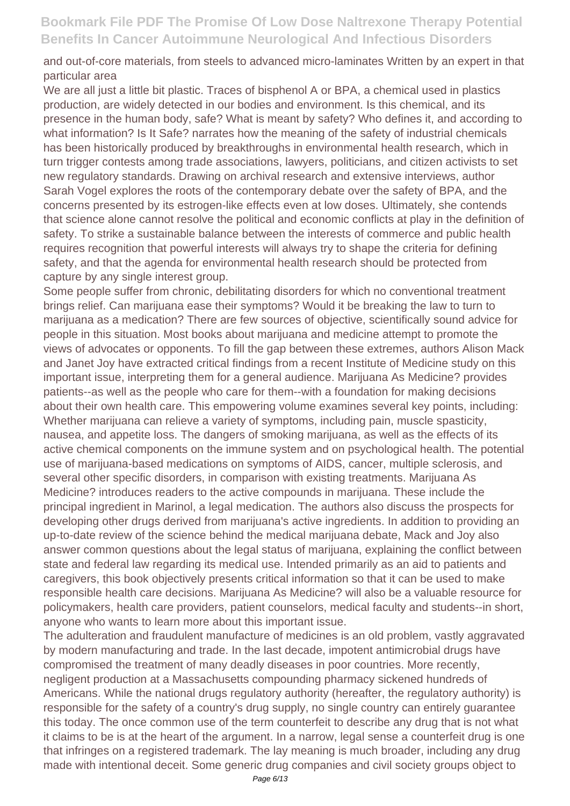and out-of-core materials, from steels to advanced micro-laminates Written by an expert in that particular area

We are all just a little bit plastic. Traces of bisphenol A or BPA, a chemical used in plastics production, are widely detected in our bodies and environment. Is this chemical, and its presence in the human body, safe? What is meant by safety? Who defines it, and according to what information? Is It Safe? narrates how the meaning of the safety of industrial chemicals has been historically produced by breakthroughs in environmental health research, which in turn trigger contests among trade associations, lawyers, politicians, and citizen activists to set new regulatory standards. Drawing on archival research and extensive interviews, author Sarah Vogel explores the roots of the contemporary debate over the safety of BPA, and the concerns presented by its estrogen-like effects even at low doses. Ultimately, she contends that science alone cannot resolve the political and economic conflicts at play in the definition of safety. To strike a sustainable balance between the interests of commerce and public health requires recognition that powerful interests will always try to shape the criteria for defining safety, and that the agenda for environmental health research should be protected from capture by any single interest group.

Some people suffer from chronic, debilitating disorders for which no conventional treatment brings relief. Can marijuana ease their symptoms? Would it be breaking the law to turn to marijuana as a medication? There are few sources of objective, scientifically sound advice for people in this situation. Most books about marijuana and medicine attempt to promote the views of advocates or opponents. To fill the gap between these extremes, authors Alison Mack and Janet Joy have extracted critical findings from a recent Institute of Medicine study on this important issue, interpreting them for a general audience. Marijuana As Medicine? provides patients--as well as the people who care for them--with a foundation for making decisions about their own health care. This empowering volume examines several key points, including: Whether marijuana can relieve a variety of symptoms, including pain, muscle spasticity, nausea, and appetite loss. The dangers of smoking marijuana, as well as the effects of its active chemical components on the immune system and on psychological health. The potential use of marijuana-based medications on symptoms of AIDS, cancer, multiple sclerosis, and several other specific disorders, in comparison with existing treatments. Marijuana As Medicine? introduces readers to the active compounds in marijuana. These include the principal ingredient in Marinol, a legal medication. The authors also discuss the prospects for developing other drugs derived from marijuana's active ingredients. In addition to providing an up-to-date review of the science behind the medical marijuana debate, Mack and Joy also answer common questions about the legal status of marijuana, explaining the conflict between state and federal law regarding its medical use. Intended primarily as an aid to patients and caregivers, this book objectively presents critical information so that it can be used to make responsible health care decisions. Marijuana As Medicine? will also be a valuable resource for policymakers, health care providers, patient counselors, medical faculty and students--in short, anyone who wants to learn more about this important issue.

The adulteration and fraudulent manufacture of medicines is an old problem, vastly aggravated by modern manufacturing and trade. In the last decade, impotent antimicrobial drugs have compromised the treatment of many deadly diseases in poor countries. More recently, negligent production at a Massachusetts compounding pharmacy sickened hundreds of Americans. While the national drugs regulatory authority (hereafter, the regulatory authority) is responsible for the safety of a country's drug supply, no single country can entirely guarantee this today. The once common use of the term counterfeit to describe any drug that is not what it claims to be is at the heart of the argument. In a narrow, legal sense a counterfeit drug is one that infringes on a registered trademark. The lay meaning is much broader, including any drug made with intentional deceit. Some generic drug companies and civil society groups object to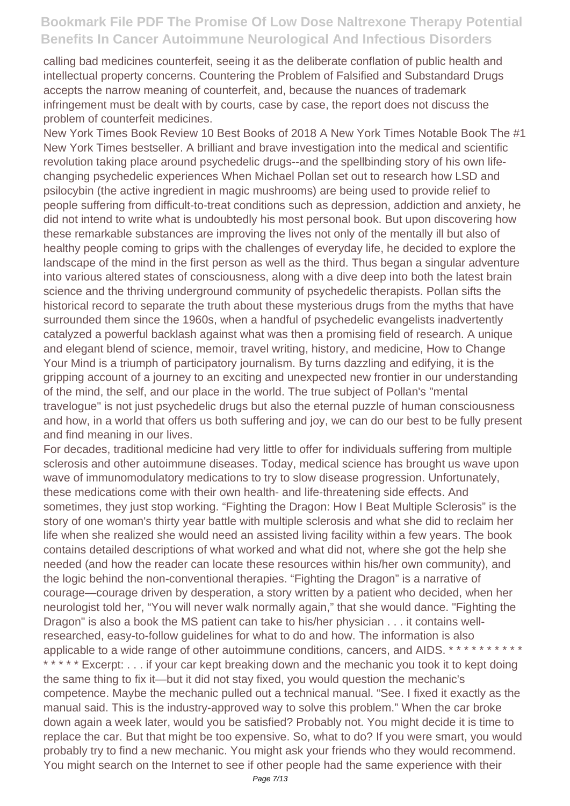calling bad medicines counterfeit, seeing it as the deliberate conflation of public health and intellectual property concerns. Countering the Problem of Falsified and Substandard Drugs accepts the narrow meaning of counterfeit, and, because the nuances of trademark infringement must be dealt with by courts, case by case, the report does not discuss the problem of counterfeit medicines.

New York Times Book Review 10 Best Books of 2018 A New York Times Notable Book The #1 New York Times bestseller. A brilliant and brave investigation into the medical and scientific revolution taking place around psychedelic drugs--and the spellbinding story of his own lifechanging psychedelic experiences When Michael Pollan set out to research how LSD and psilocybin (the active ingredient in magic mushrooms) are being used to provide relief to people suffering from difficult-to-treat conditions such as depression, addiction and anxiety, he did not intend to write what is undoubtedly his most personal book. But upon discovering how these remarkable substances are improving the lives not only of the mentally ill but also of healthy people coming to grips with the challenges of everyday life, he decided to explore the landscape of the mind in the first person as well as the third. Thus began a singular adventure into various altered states of consciousness, along with a dive deep into both the latest brain science and the thriving underground community of psychedelic therapists. Pollan sifts the historical record to separate the truth about these mysterious drugs from the myths that have surrounded them since the 1960s, when a handful of psychedelic evangelists inadvertently catalyzed a powerful backlash against what was then a promising field of research. A unique and elegant blend of science, memoir, travel writing, history, and medicine, How to Change Your Mind is a triumph of participatory journalism. By turns dazzling and edifying, it is the gripping account of a journey to an exciting and unexpected new frontier in our understanding of the mind, the self, and our place in the world. The true subject of Pollan's "mental travelogue" is not just psychedelic drugs but also the eternal puzzle of human consciousness and how, in a world that offers us both suffering and joy, we can do our best to be fully present and find meaning in our lives.

For decades, traditional medicine had very little to offer for individuals suffering from multiple sclerosis and other autoimmune diseases. Today, medical science has brought us wave upon wave of immunomodulatory medications to try to slow disease progression. Unfortunately, these medications come with their own health- and life-threatening side effects. And sometimes, they just stop working. "Fighting the Dragon: How I Beat Multiple Sclerosis" is the story of one woman's thirty year battle with multiple sclerosis and what she did to reclaim her life when she realized she would need an assisted living facility within a few years. The book contains detailed descriptions of what worked and what did not, where she got the help she needed (and how the reader can locate these resources within his/her own community), and the logic behind the non-conventional therapies. "Fighting the Dragon" is a narrative of courage—courage driven by desperation, a story written by a patient who decided, when her neurologist told her, "You will never walk normally again," that she would dance. "Fighting the Dragon" is also a book the MS patient can take to his/her physician . . . it contains wellresearched, easy-to-follow guidelines for what to do and how. The information is also applicable to a wide range of other autoimmune conditions, cancers, and AIDS. \*\*\*\* \*\*\*\*\* Excerpt: . . . if your car kept breaking down and the mechanic you took it to kept doing the same thing to fix it—but it did not stay fixed, you would question the mechanic's competence. Maybe the mechanic pulled out a technical manual. "See. I fixed it exactly as the manual said. This is the industry-approved way to solve this problem." When the car broke down again a week later, would you be satisfied? Probably not. You might decide it is time to replace the car. But that might be too expensive. So, what to do? If you were smart, you would probably try to find a new mechanic. You might ask your friends who they would recommend. You might search on the Internet to see if other people had the same experience with their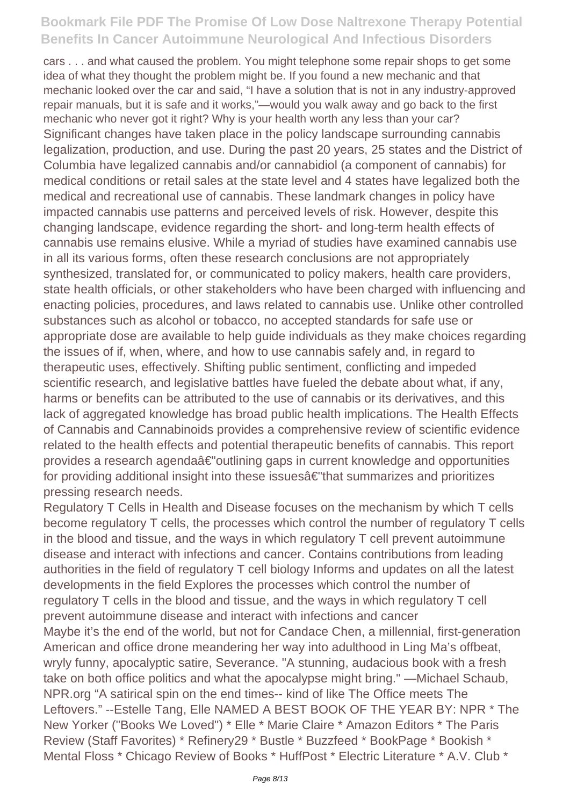cars . . . and what caused the problem. You might telephone some repair shops to get some idea of what they thought the problem might be. If you found a new mechanic and that mechanic looked over the car and said, "I have a solution that is not in any industry-approved repair manuals, but it is safe and it works,"—would you walk away and go back to the first mechanic who never got it right? Why is your health worth any less than your car? Significant changes have taken place in the policy landscape surrounding cannabis legalization, production, and use. During the past 20 years, 25 states and the District of Columbia have legalized cannabis and/or cannabidiol (a component of cannabis) for medical conditions or retail sales at the state level and 4 states have legalized both the medical and recreational use of cannabis. These landmark changes in policy have impacted cannabis use patterns and perceived levels of risk. However, despite this changing landscape, evidence regarding the short- and long-term health effects of cannabis use remains elusive. While a myriad of studies have examined cannabis use in all its various forms, often these research conclusions are not appropriately synthesized, translated for, or communicated to policy makers, health care providers, state health officials, or other stakeholders who have been charged with influencing and enacting policies, procedures, and laws related to cannabis use. Unlike other controlled substances such as alcohol or tobacco, no accepted standards for safe use or appropriate dose are available to help guide individuals as they make choices regarding the issues of if, when, where, and how to use cannabis safely and, in regard to therapeutic uses, effectively. Shifting public sentiment, conflicting and impeded scientific research, and legislative battles have fueled the debate about what, if any, harms or benefits can be attributed to the use of cannabis or its derivatives, and this lack of aggregated knowledge has broad public health implications. The Health Effects of Cannabis and Cannabinoids provides a comprehensive review of scientific evidence related to the health effects and potential therapeutic benefits of cannabis. This report provides a research agendaâ€"outlining gaps in current knowledge and opportunities for providing additional insight into these issuesâ€"that summarizes and prioritizes pressing research needs.

Regulatory T Cells in Health and Disease focuses on the mechanism by which T cells become regulatory T cells, the processes which control the number of regulatory T cells in the blood and tissue, and the ways in which regulatory T cell prevent autoimmune disease and interact with infections and cancer. Contains contributions from leading authorities in the field of regulatory T cell biology Informs and updates on all the latest developments in the field Explores the processes which control the number of regulatory T cells in the blood and tissue, and the ways in which regulatory T cell prevent autoimmune disease and interact with infections and cancer Maybe it's the end of the world, but not for Candace Chen, a millennial, first-generation American and office drone meandering her way into adulthood in Ling Ma's offbeat, wryly funny, apocalyptic satire, Severance. "A stunning, audacious book with a fresh take on both office politics and what the apocalypse might bring." —Michael Schaub, NPR.org "A satirical spin on the end times-- kind of like The Office meets The Leftovers." --Estelle Tang, Elle NAMED A BEST BOOK OF THE YEAR BY: NPR \* The New Yorker ("Books We Loved") \* Elle \* Marie Claire \* Amazon Editors \* The Paris Review (Staff Favorites) \* Refinery29 \* Bustle \* Buzzfeed \* BookPage \* Bookish \* Mental Floss \* Chicago Review of Books \* HuffPost \* Electric Literature \* A.V. Club \*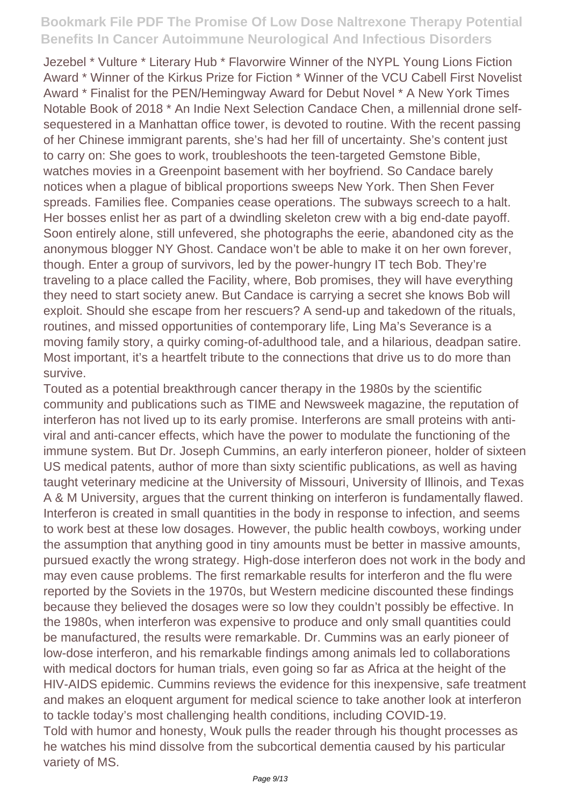Jezebel \* Vulture \* Literary Hub \* Flavorwire Winner of the NYPL Young Lions Fiction Award \* Winner of the Kirkus Prize for Fiction \* Winner of the VCU Cabell First Novelist Award \* Finalist for the PEN/Hemingway Award for Debut Novel \* A New York Times Notable Book of 2018 \* An Indie Next Selection Candace Chen, a millennial drone selfsequestered in a Manhattan office tower, is devoted to routine. With the recent passing of her Chinese immigrant parents, she's had her fill of uncertainty. She's content just to carry on: She goes to work, troubleshoots the teen-targeted Gemstone Bible, watches movies in a Greenpoint basement with her boyfriend. So Candace barely notices when a plague of biblical proportions sweeps New York. Then Shen Fever spreads. Families flee. Companies cease operations. The subways screech to a halt. Her bosses enlist her as part of a dwindling skeleton crew with a big end-date payoff. Soon entirely alone, still unfevered, she photographs the eerie, abandoned city as the anonymous blogger NY Ghost. Candace won't be able to make it on her own forever, though. Enter a group of survivors, led by the power-hungry IT tech Bob. They're traveling to a place called the Facility, where, Bob promises, they will have everything they need to start society anew. But Candace is carrying a secret she knows Bob will exploit. Should she escape from her rescuers? A send-up and takedown of the rituals, routines, and missed opportunities of contemporary life, Ling Ma's Severance is a moving family story, a quirky coming-of-adulthood tale, and a hilarious, deadpan satire. Most important, it's a heartfelt tribute to the connections that drive us to do more than survive.

Touted as a potential breakthrough cancer therapy in the 1980s by the scientific community and publications such as TIME and Newsweek magazine, the reputation of interferon has not lived up to its early promise. Interferons are small proteins with antiviral and anti-cancer effects, which have the power to modulate the functioning of the immune system. But Dr. Joseph Cummins, an early interferon pioneer, holder of sixteen US medical patents, author of more than sixty scientific publications, as well as having taught veterinary medicine at the University of Missouri, University of Illinois, and Texas A & M University, argues that the current thinking on interferon is fundamentally flawed. Interferon is created in small quantities in the body in response to infection, and seems to work best at these low dosages. However, the public health cowboys, working under the assumption that anything good in tiny amounts must be better in massive amounts, pursued exactly the wrong strategy. High-dose interferon does not work in the body and may even cause problems. The first remarkable results for interferon and the flu were reported by the Soviets in the 1970s, but Western medicine discounted these findings because they believed the dosages were so low they couldn't possibly be effective. In the 1980s, when interferon was expensive to produce and only small quantities could be manufactured, the results were remarkable. Dr. Cummins was an early pioneer of low-dose interferon, and his remarkable findings among animals led to collaborations with medical doctors for human trials, even going so far as Africa at the height of the HIV-AIDS epidemic. Cummins reviews the evidence for this inexpensive, safe treatment and makes an eloquent argument for medical science to take another look at interferon to tackle today's most challenging health conditions, including COVID-19. Told with humor and honesty, Wouk pulls the reader through his thought processes as he watches his mind dissolve from the subcortical dementia caused by his particular variety of MS.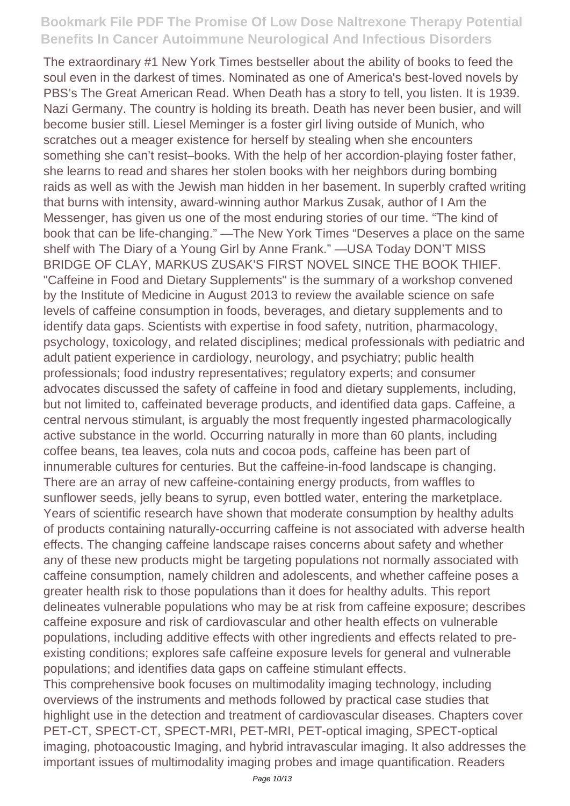The extraordinary #1 New York Times bestseller about the ability of books to feed the soul even in the darkest of times. Nominated as one of America's best-loved novels by PBS's The Great American Read. When Death has a story to tell, you listen. It is 1939. Nazi Germany. The country is holding its breath. Death has never been busier, and will become busier still. Liesel Meminger is a foster girl living outside of Munich, who scratches out a meager existence for herself by stealing when she encounters something she can't resist–books. With the help of her accordion-playing foster father, she learns to read and shares her stolen books with her neighbors during bombing raids as well as with the Jewish man hidden in her basement. In superbly crafted writing that burns with intensity, award-winning author Markus Zusak, author of I Am the Messenger, has given us one of the most enduring stories of our time. "The kind of book that can be life-changing." —The New York Times "Deserves a place on the same shelf with The Diary of a Young Girl by Anne Frank." —USA Today DON'T MISS BRIDGE OF CLAY, MARKUS ZUSAK'S FIRST NOVEL SINCE THE BOOK THIEF. "Caffeine in Food and Dietary Supplements" is the summary of a workshop convened by the Institute of Medicine in August 2013 to review the available science on safe levels of caffeine consumption in foods, beverages, and dietary supplements and to identify data gaps. Scientists with expertise in food safety, nutrition, pharmacology, psychology, toxicology, and related disciplines; medical professionals with pediatric and adult patient experience in cardiology, neurology, and psychiatry; public health professionals; food industry representatives; regulatory experts; and consumer advocates discussed the safety of caffeine in food and dietary supplements, including, but not limited to, caffeinated beverage products, and identified data gaps. Caffeine, a central nervous stimulant, is arguably the most frequently ingested pharmacologically active substance in the world. Occurring naturally in more than 60 plants, including coffee beans, tea leaves, cola nuts and cocoa pods, caffeine has been part of innumerable cultures for centuries. But the caffeine-in-food landscape is changing. There are an array of new caffeine-containing energy products, from waffles to sunflower seeds, jelly beans to syrup, even bottled water, entering the marketplace. Years of scientific research have shown that moderate consumption by healthy adults of products containing naturally-occurring caffeine is not associated with adverse health effects. The changing caffeine landscape raises concerns about safety and whether any of these new products might be targeting populations not normally associated with caffeine consumption, namely children and adolescents, and whether caffeine poses a greater health risk to those populations than it does for healthy adults. This report delineates vulnerable populations who may be at risk from caffeine exposure; describes caffeine exposure and risk of cardiovascular and other health effects on vulnerable populations, including additive effects with other ingredients and effects related to preexisting conditions; explores safe caffeine exposure levels for general and vulnerable populations; and identifies data gaps on caffeine stimulant effects. This comprehensive book focuses on multimodality imaging technology, including overviews of the instruments and methods followed by practical case studies that

highlight use in the detection and treatment of cardiovascular diseases. Chapters cover PET-CT, SPECT-CT, SPECT-MRI, PET-MRI, PET-optical imaging, SPECT-optical imaging, photoacoustic Imaging, and hybrid intravascular imaging. It also addresses the important issues of multimodality imaging probes and image quantification. Readers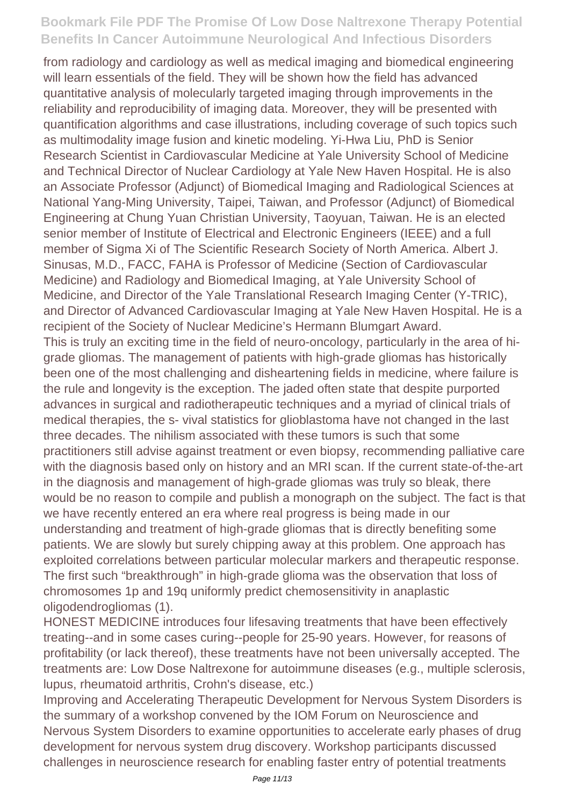from radiology and cardiology as well as medical imaging and biomedical engineering will learn essentials of the field. They will be shown how the field has advanced quantitative analysis of molecularly targeted imaging through improvements in the reliability and reproducibility of imaging data. Moreover, they will be presented with quantification algorithms and case illustrations, including coverage of such topics such as multimodality image fusion and kinetic modeling. Yi-Hwa Liu, PhD is Senior Research Scientist in Cardiovascular Medicine at Yale University School of Medicine and Technical Director of Nuclear Cardiology at Yale New Haven Hospital. He is also an Associate Professor (Adjunct) of Biomedical Imaging and Radiological Sciences at National Yang-Ming University, Taipei, Taiwan, and Professor (Adjunct) of Biomedical Engineering at Chung Yuan Christian University, Taoyuan, Taiwan. He is an elected senior member of Institute of Electrical and Electronic Engineers (IEEE) and a full member of Sigma Xi of The Scientific Research Society of North America. Albert J. Sinusas, M.D., FACC, FAHA is Professor of Medicine (Section of Cardiovascular Medicine) and Radiology and Biomedical Imaging, at Yale University School of Medicine, and Director of the Yale Translational Research Imaging Center (Y-TRIC), and Director of Advanced Cardiovascular Imaging at Yale New Haven Hospital. He is a recipient of the Society of Nuclear Medicine's Hermann Blumgart Award. This is truly an exciting time in the field of neuro-oncology, particularly in the area of higrade gliomas. The management of patients with high-grade gliomas has historically been one of the most challenging and disheartening fields in medicine, where failure is the rule and longevity is the exception. The jaded often state that despite purported advances in surgical and radiotherapeutic techniques and a myriad of clinical trials of medical therapies, the s- vival statistics for glioblastoma have not changed in the last three decades. The nihilism associated with these tumors is such that some practitioners still advise against treatment or even biopsy, recommending palliative care with the diagnosis based only on history and an MRI scan. If the current state-of-the-art in the diagnosis and management of high-grade gliomas was truly so bleak, there would be no reason to compile and publish a monograph on the subject. The fact is that we have recently entered an era where real progress is being made in our understanding and treatment of high-grade gliomas that is directly benefiting some patients. We are slowly but surely chipping away at this problem. One approach has exploited correlations between particular molecular markers and therapeutic response. The first such "breakthrough" in high-grade glioma was the observation that loss of chromosomes 1p and 19q uniformly predict chemosensitivity in anaplastic oligodendrogliomas (1).

HONEST MEDICINE introduces four lifesaving treatments that have been effectively treating--and in some cases curing--people for 25-90 years. However, for reasons of profitability (or lack thereof), these treatments have not been universally accepted. The treatments are: Low Dose Naltrexone for autoimmune diseases (e.g., multiple sclerosis, lupus, rheumatoid arthritis, Crohn's disease, etc.)

Improving and Accelerating Therapeutic Development for Nervous System Disorders is the summary of a workshop convened by the IOM Forum on Neuroscience and Nervous System Disorders to examine opportunities to accelerate early phases of drug development for nervous system drug discovery. Workshop participants discussed challenges in neuroscience research for enabling faster entry of potential treatments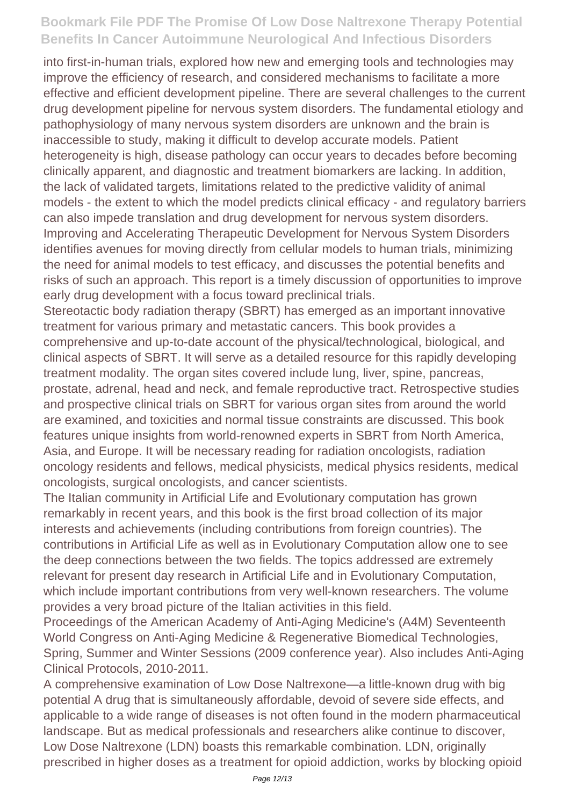into first-in-human trials, explored how new and emerging tools and technologies may improve the efficiency of research, and considered mechanisms to facilitate a more effective and efficient development pipeline. There are several challenges to the current drug development pipeline for nervous system disorders. The fundamental etiology and pathophysiology of many nervous system disorders are unknown and the brain is inaccessible to study, making it difficult to develop accurate models. Patient heterogeneity is high, disease pathology can occur years to decades before becoming clinically apparent, and diagnostic and treatment biomarkers are lacking. In addition, the lack of validated targets, limitations related to the predictive validity of animal models - the extent to which the model predicts clinical efficacy - and regulatory barriers can also impede translation and drug development for nervous system disorders. Improving and Accelerating Therapeutic Development for Nervous System Disorders identifies avenues for moving directly from cellular models to human trials, minimizing the need for animal models to test efficacy, and discusses the potential benefits and risks of such an approach. This report is a timely discussion of opportunities to improve early drug development with a focus toward preclinical trials.

Stereotactic body radiation therapy (SBRT) has emerged as an important innovative treatment for various primary and metastatic cancers. This book provides a comprehensive and up-to-date account of the physical/technological, biological, and clinical aspects of SBRT. It will serve as a detailed resource for this rapidly developing treatment modality. The organ sites covered include lung, liver, spine, pancreas, prostate, adrenal, head and neck, and female reproductive tract. Retrospective studies and prospective clinical trials on SBRT for various organ sites from around the world are examined, and toxicities and normal tissue constraints are discussed. This book features unique insights from world-renowned experts in SBRT from North America, Asia, and Europe. It will be necessary reading for radiation oncologists, radiation oncology residents and fellows, medical physicists, medical physics residents, medical oncologists, surgical oncologists, and cancer scientists.

The Italian community in Artificial Life and Evolutionary computation has grown remarkably in recent years, and this book is the first broad collection of its major interests and achievements (including contributions from foreign countries). The contributions in Artificial Life as well as in Evolutionary Computation allow one to see the deep connections between the two fields. The topics addressed are extremely relevant for present day research in Artificial Life and in Evolutionary Computation, which include important contributions from very well-known researchers. The volume provides a very broad picture of the Italian activities in this field.

Proceedings of the American Academy of Anti-Aging Medicine's (A4M) Seventeenth World Congress on Anti-Aging Medicine & Regenerative Biomedical Technologies, Spring, Summer and Winter Sessions (2009 conference year). Also includes Anti-Aging Clinical Protocols, 2010-2011.

A comprehensive examination of Low Dose Naltrexone—a little-known drug with big potential A drug that is simultaneously affordable, devoid of severe side effects, and applicable to a wide range of diseases is not often found in the modern pharmaceutical landscape. But as medical professionals and researchers alike continue to discover, Low Dose Naltrexone (LDN) boasts this remarkable combination. LDN, originally prescribed in higher doses as a treatment for opioid addiction, works by blocking opioid